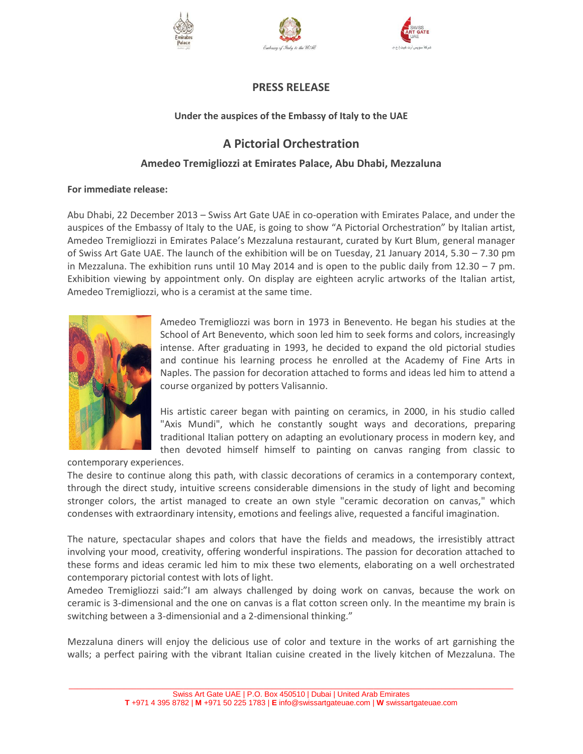





# **PRESS RELEASE**

# **Under the auspices of the Embassy of Italy to the UAE**

# **A Pictorial Orchestration**

# **Amedeo Tremigliozzi at Emirates Palace, Abu Dhabi, Mezzaluna**

# **For immediate release:**

Abu Dhabi, 22 December 2013 – Swiss Art Gate UAE in co-operation with Emirates Palace, and under the auspices of the Embassy of Italy to the UAE, is going to show "A Pictorial Orchestration" by Italian artist, Amedeo Tremigliozzi in Emirates Palace's Mezzaluna restaurant, curated by Kurt Blum, general manager of Swiss Art Gate UAE. The launch of the exhibition will be on Tuesday, 21 January 2014, 5.30 – 7.30 pm in Mezzaluna. The exhibition runs until 10 May 2014 and is open to the public daily from 12.30 – 7 pm. Exhibition viewing by appointment only. On display are eighteen acrylic artworks of the Italian artist, Amedeo Tremigliozzi, who is a ceramist at the same time.



Amedeo Tremigliozzi was born in 1973 in Benevento. He began his studies at the School of Art Benevento, which soon led him to seek forms and colors, increasingly intense. After graduating in 1993, he decided to expand the old pictorial studies and continue his learning process he enrolled at the Academy of Fine Arts in Naples. The passion for decoration attached to forms and ideas led him to attend a course organized by potters Valisannio.

His artistic career began with painting on ceramics, in 2000, in his studio called "Axis Mundi", which he constantly sought ways and decorations, preparing traditional Italian pottery on adapting an evolutionary process in modern key, and then devoted himself himself to painting on canvas ranging from classic to

contemporary experiences.

The desire to continue along this path, with classic decorations of ceramics in a contemporary context, through the direct study, intuitive screens considerable dimensions in the study of light and becoming stronger colors, the artist managed to create an own style "ceramic decoration on canvas," which condenses with extraordinary intensity, emotions and feelings alive, requested a fanciful imagination.

The nature, spectacular shapes and colors that have the fields and meadows, the irresistibly attract involving your mood, creativity, offering wonderful inspirations. The passion for decoration attached to these forms and ideas ceramic led him to mix these two elements, elaborating on a well orchestrated contemporary pictorial contest with lots of light.

Amedeo Tremigliozzi said:"I am always challenged by doing work on canvas, because the work on ceramic is 3-dimensional and the one on canvas is a flat cotton screen only. In the meantime my brain is switching between a 3-dimensionial and a 2-dimensional thinking."

Mezzaluna diners will enjoy the delicious use of color and texture in the works of art garnishing the walls; a perfect pairing with the vibrant Italian cuisine created in the lively kitchen of Mezzaluna. The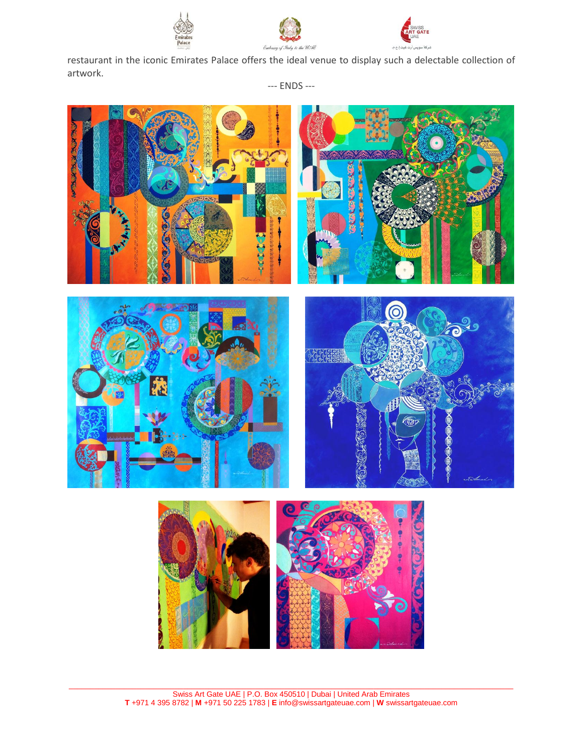

restaurant in the iconic Emirates Palace offers the ideal venue to display such a delectable collection of artwork.

C Schwed



--- ENDS ---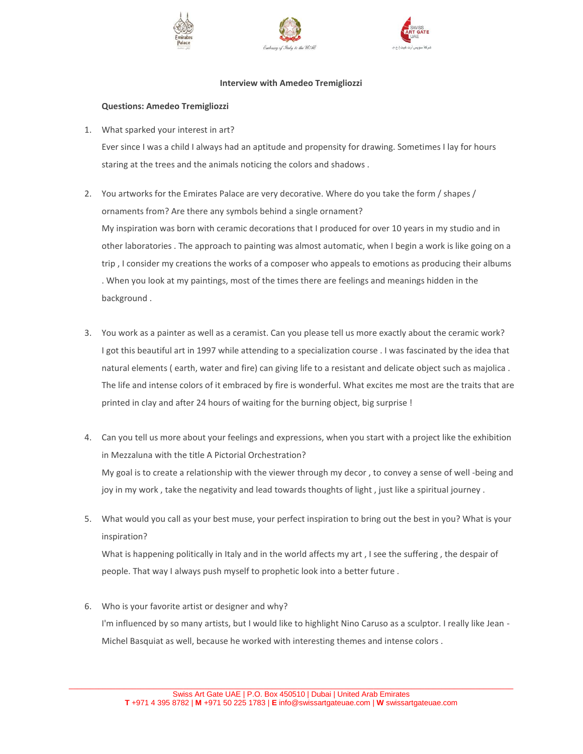





#### **Interview with Amedeo Tremigliozzi**

#### **Questions: Amedeo Tremigliozzi**

1. What sparked your interest in art?

Ever since I was a child I always had an aptitude and propensity for drawing. Sometimes I lay for hours staring at the trees and the animals noticing the colors and shadows .

- 2. You artworks for the Emirates Palace are very decorative. Where do you take the form / shapes / ornaments from? Are there any symbols behind a single ornament? My inspiration was born with ceramic decorations that I produced for over 10 years in my studio and in other laboratories . The approach to painting was almost automatic, when I begin a work is like going on a trip , I consider my creations the works of a composer who appeals to emotions as producing their albums . When you look at my paintings, most of the times there are feelings and meanings hidden in the background .
- 3. You work as a painter as well as a ceramist. Can you please tell us more exactly about the ceramic work? I got this beautiful art in 1997 while attending to a specialization course . I was fascinated by the idea that natural elements ( earth, water and fire) can giving life to a resistant and delicate object such as majolica . The life and intense colors of it embraced by fire is wonderful. What excites me most are the traits that are printed in clay and after 24 hours of waiting for the burning object, big surprise !
- 4. Can you tell us more about your feelings and expressions, when you start with a project like the exhibition in Mezzaluna with the title A Pictorial Orchestration? My goal is to create a relationship with the viewer through my decor , to convey a sense of well -being and joy in my work , take the negativity and lead towards thoughts of light , just like a spiritual journey .
- 5. What would you call as your best muse, your perfect inspiration to bring out the best in you? What is your inspiration?

What is happening politically in Italy and in the world affects my art , I see the suffering , the despair of people. That way I always push myself to prophetic look into a better future .

6. Who is your favorite artist or designer and why? I'm influenced by so many artists, but I would like to highlight Nino Caruso as a sculptor. I really like Jean - Michel Basquiat as well, because he worked with interesting themes and intense colors .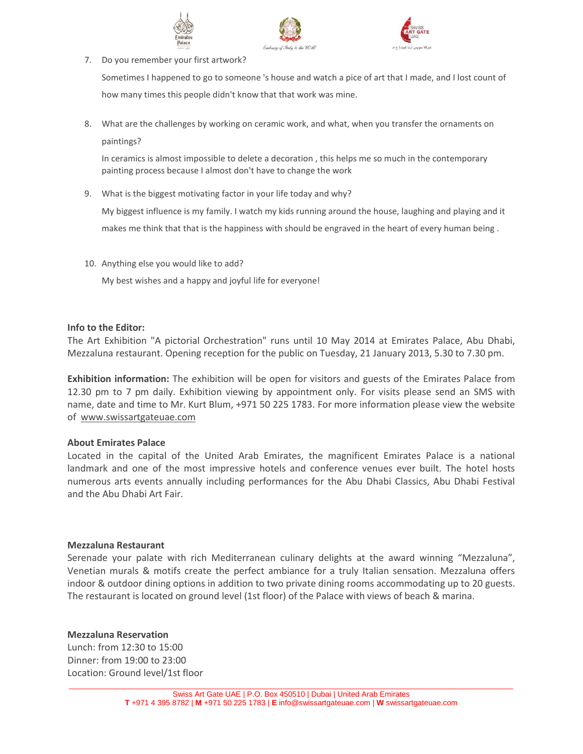





7. Do you remember your first artwork?

Sometimes I happened to go to someone 's house and watch a pice of art that I made, and I lost count of how many times this people didn't know that that work was mine.

8. What are the challenges by working on ceramic work, and what, when you transfer the ornaments on paintings?

In ceramics is almost impossible to delete a decoration , this helps me so much in the contemporary painting process because I almost don't have to change the work

9. What is the biggest motivating factor in your life today and why?

My biggest influence is my family. I watch my kids running around the house, laughing and playing and it makes me think that that is the happiness with should be engraved in the heart of every human being .

10. Anything else you would like to add?

My best wishes and a happy and joyful life for everyone!

# **Info to the Editor:**

The Art Exhibition "A pictorial Orchestration" runs until 10 May 2014 at Emirates Palace, Abu Dhabi, Mezzaluna restaurant. Opening reception for the public on Tuesday, 21 January 2013, 5.30 to 7.30 pm.

**Exhibition information:** The exhibition will be open for visitors and guests of the Emirates Palace from 12.30 pm to 7 pm daily. Exhibition viewing by appointment only. For visits please send an SMS with name, date and time to Mr. Kurt Blum, +971 50 225 1783. For more information please view the website of [www.swissartgateuae.com](http://www.swissartgateuae.com/)

# **About Emirates Palace**

Located in the capital of the United Arab Emirates, the magnificent Emirates Palace is a national landmark and one of the most impressive hotels and conference venues ever built. The hotel hosts numerous arts events annually including performances for the Abu Dhabi Classics, Abu Dhabi Festival and the Abu Dhabi Art Fair.

# **Mezzaluna Restaurant**

Serenade your palate with rich Mediterranean culinary delights at the award winning "Mezzaluna", Venetian murals & motifs create the perfect ambiance for a truly Italian sensation. Mezzaluna offers indoor & outdoor dining options in addition to two private dining rooms accommodating up to 20 guests. The restaurant is located on ground level (1st floor) of the Palace with views of beach & marina.

# **Mezzaluna Reservation**

Lunch: from 12:30 to 15:00 Dinner: from 19:00 to 23:00 Location: Ground level/1st floor